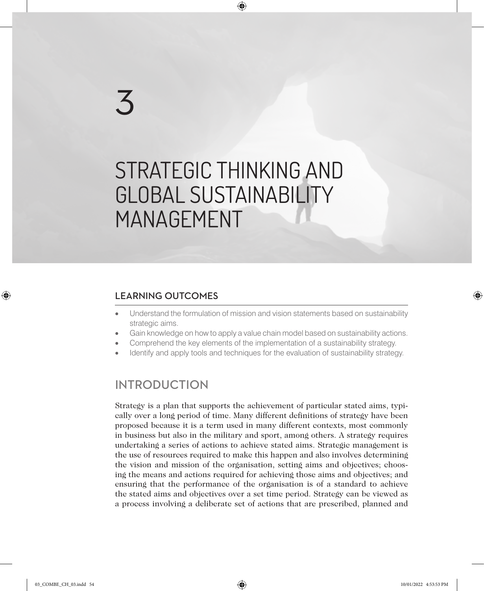# 3

## STRATEGIC THINKING AND GLOBAL SUSTAINABILITY MANAGEMENT

♠

#### LEARNING OUTCOMES

- Understand the formulation of mission and vision statements based on sustainability strategic aims.
- Gain knowledge on how to apply a value chain model based on sustainability actions.
- Comprehend the key elements of the implementation of a sustainability strategy.
- Identify and apply tools and techniques for the evaluation of sustainability strategy.

#### INTRODUCTION

Strategy is a plan that supports the achievement of particular stated aims, typically over a long period of time. Many different definitions of strategy have been proposed because it is a term used in many different contexts, most commonly in business but also in the military and sport, among others. A strategy requires undertaking a series of actions to achieve stated aims. Strategic management is the use of resources required to make this happen and also involves determining the vision and mission of the organisation, setting aims and objectives; choosing the means and actions required for achieving those aims and objectives; and ensuring that the performance of the organisation is of a standard to achieve the stated aims and objectives over a set time period. Strategy can be viewed as a process involving a deliberate set of actions that are prescribed, planned and

♠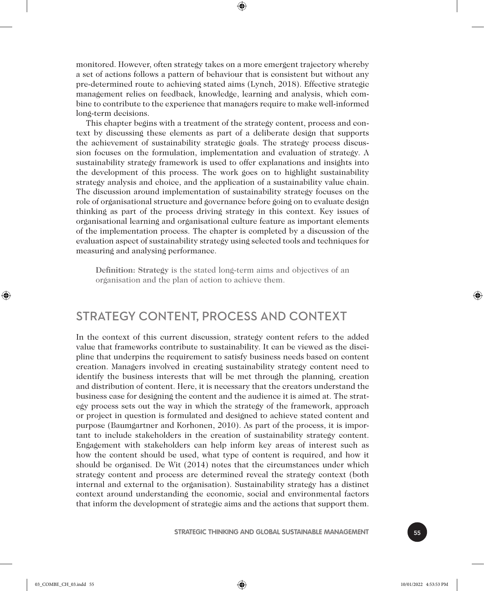monitored. However, often strategy takes on a more emergent trajectory whereby a set of actions follows a pattern of behaviour that is consistent but without any pre-determined route to achieving stated aims (Lynch, 2018). Effective strategic management relies on feedback, knowledge, learning and analysis, which combine to contribute to the experience that managers require to make well-informed long-term decisions.

⊕

This chapter begins with a treatment of the strategy content, process and context by discussing these elements as part of a deliberate design that supports the achievement of sustainability strategic goals. The strategy process discussion focuses on the formulation, implementation and evaluation of strategy. A sustainability strategy framework is used to offer explanations and insights into the development of this process. The work goes on to highlight sustainability strategy analysis and choice, and the application of a sustainability value chain. The discussion around implementation of sustainability strategy focuses on the role of organisational structure and governance before going on to evaluate design thinking as part of the process driving strategy in this context. Key issues of organisational learning and organisational culture feature as important elements of the implementation process. The chapter is completed by a discussion of the evaluation aspect of sustainability strategy using selected tools and techniques for measuring and analysing performance.

**Definition: Strategy** is the stated long-term aims and objectives of an organisation and the plan of action to achieve them.

#### STRATEGY CONTENT, PROCESS AND CONTEXT

In the context of this current discussion, strategy content refers to the added value that frameworks contribute to sustainability. It can be viewed as the discipline that underpins the requirement to satisfy business needs based on content creation. Managers involved in creating sustainability strategy content need to identify the business interests that will be met through the planning, creation and distribution of content. Here, it is necessary that the creators understand the business case for designing the content and the audience it is aimed at. The strategy process sets out the way in which the strategy of the framework, approach or project in question is formulated and designed to achieve stated content and purpose (Baumgartner and Korhonen, 2010). As part of the process, it is important to include stakeholders in the creation of sustainability strategy content. Engagement with stakeholders can help inform key areas of interest such as how the content should be used, what type of content is required, and how it should be organised. De Wit (2014) notes that the circumstances under which strategy content and process are determined reveal the strategy context (both internal and external to the organisation). Sustainability strategy has a distinct context around understanding the economic, social and environmental factors that inform the development of strategic aims and the actions that support them.

♠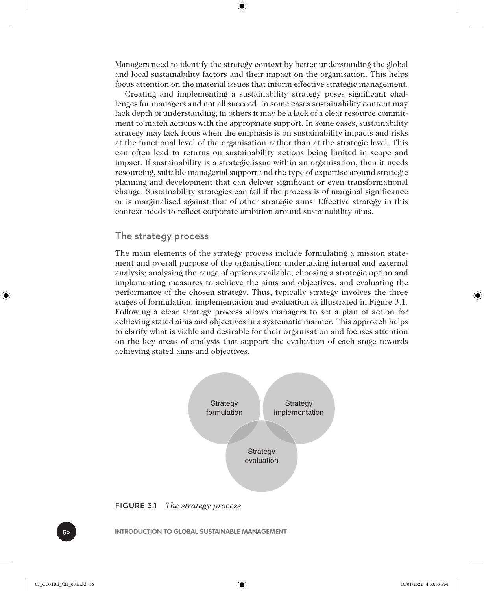Managers need to identify the strategy context by better understanding the global and local sustainability factors and their impact on the organisation. This helps focus attention on the material issues that inform effective strategic management.

⊕

Creating and implementing a sustainability strategy poses significant challenges for managers and not all succeed. In some cases sustainability content may lack depth of understanding; in others it may be a lack of a clear resource commitment to match actions with the appropriate support. In some cases, sustainability strategy may lack focus when the emphasis is on sustainability impacts and risks at the functional level of the organisation rather than at the strategic level. This can often lead to returns on sustainability actions being limited in scope and impact. If sustainability is a strategic issue within an organisation, then it needs resourcing, suitable managerial support and the type of expertise around strategic planning and development that can deliver significant or even transformational change. Sustainability strategies can fail if the process is of marginal significance or is marginalised against that of other strategic aims. Effective strategy in this context needs to reflect corporate ambition around sustainability aims.

#### The strategy process

The main elements of the strategy process include formulating a mission statement and overall purpose of the organisation; undertaking internal and external analysis; analysing the range of options available; choosing a strategic option and implementing measures to achieve the aims and objectives, and evaluating the performance of the chosen strategy. Thus, typically strategy involves the three stages of formulation, implementation and evaluation as illustrated in Figure 3.1. Following a clear strategy process allows managers to set a plan of action for achieving stated aims and objectives in a systematic manner. This approach helps to clarify what is viable and desirable for their organisation and focuses attention on the key areas of analysis that support the evaluation of each stage towards achieving stated aims and objectives.





56 **INTRODUCTION TO GLOBAL SUSTAINABLE MANAGEMENT**

♠

03\_COMBE\_CH\_03.indd 56 10/01/2022 4:53:55 PM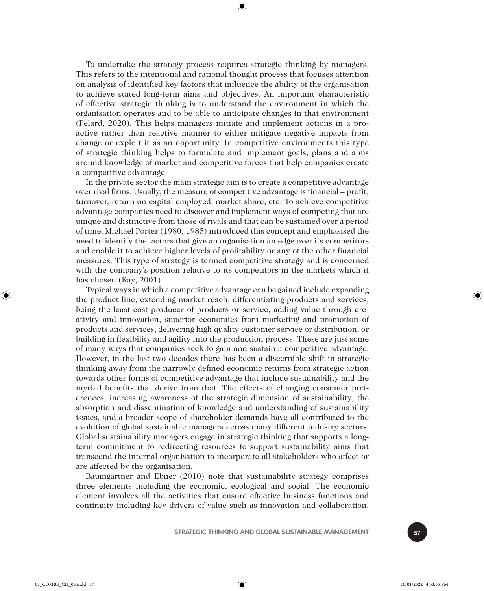To undertake the strategy process requires strategic thinking by managers. This refers to the intentional and rational thought process that focuses attention on analysis of identified key factors that influence the ability of the organisation to achieve stated long-term aims and objectives. An important characteristic of effective strategic thinking is to understand the environment in which the organisation operates and to be able to anticipate changes in that environment (Pelard, 2020). This helps managers initiate and implement actions in a proactive rather than reactive manner to either mitigate negative impacts from change or exploit it as an opportunity. In competitive environments this type of strategic thinking helps to formulate and implement goals, plans and aims around knowledge of market and competitive forces that help companies create a competitive advantage.

⊕

In the private sector the main strategic aim is to create a competitive advantage over rival firms. Usually, the measure of competitive advantage is financial – profit, turnover, return on capital employed, market share, etc. To achieve competitive advantage companies need to discover and implement ways of competing that are unique and distinctive from those of rivals and that can be sustained over a period of time. Michael Porter (1980, 1985) introduced this concept and emphasised the need to identify the factors that give an organisation an edge over its competitors and enable it to achieve higher levels of profitability or any of the other financial measures. This type of strategy is termed competitive strategy and is concerned with the company's position relative to its competitors in the markets which it has chosen (Kay, 2001).

Typical ways in which a competitive advantage can be gained include expanding the product line, extending market reach, differentiating products and services, being the least cost producer of products or service, adding value through creativity and innovation, superior economies from marketing and promotion of products and services, delivering high quality customer service or distribution, or building in flexibility and agility into the production process. These are just some of many ways that companies seek to gain and sustain a competitive advantage. However, in the last two decades there has been a discernible shift in strategic thinking away from the narrowly defined economic returns from strategic action towards other forms of competitive advantage that include sustainability and the myriad benefits that derive from that. The effects of changing consumer preferences, increasing awareness of the strategic dimension of sustainability, the absorption and dissemination of knowledge and understanding of sustainability issues, and a broader scope of shareholder demands have all contributed to the evolution of global sustainable managers across many different industry sectors. Global sustainability managers engage in strategic thinking that supports a longterm commitment to redirecting resources to support sustainability aims that transcend the internal organisation to incorporate all stakeholders who affect or are affected by the organisation.

Baumgartner and Ebner (2010) note that sustainability strategy comprises three elements including the economic, ecological and social. The economic element involves all the activities that ensure effective business functions and continuity including key drivers of value such as innovation and collaboration.



⊕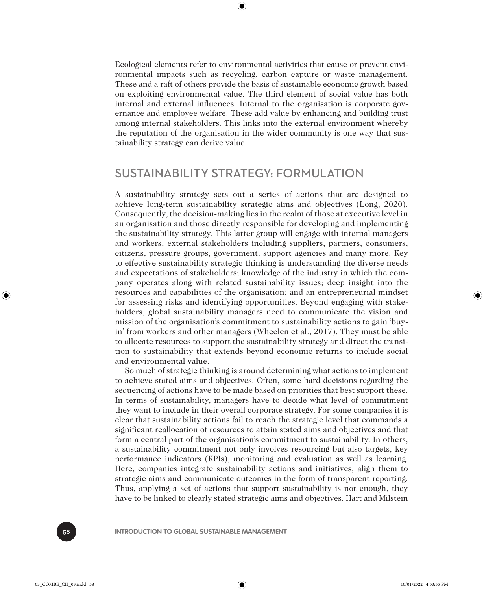⊕

Ecological elements refer to environmental activities that cause or prevent environmental impacts such as recycling, carbon capture or waste management. These and a raft of others provide the basis of sustainable economic growth based on exploiting environmental value. The third element of social value has both internal and external influences. Internal to the organisation is corporate governance and employee welfare. These add value by enhancing and building trust among internal stakeholders. This links into the external environment whereby the reputation of the organisation in the wider community is one way that sustainability strategy can derive value.

#### SUSTAINABILITY STRATEGY: FORMULATION

A sustainability strategy sets out a series of actions that are designed to achieve long-term sustainability strategic aims and objectives (Long, 2020). Consequently, the decision-making lies in the realm of those at executive level in an organisation and those directly responsible for developing and implementing the sustainability strategy. This latter group will engage with internal managers and workers, external stakeholders including suppliers, partners, consumers, citizens, pressure groups, government, support agencies and many more. Key to effective sustainability strategic thinking is understanding the diverse needs and expectations of stakeholders; knowledge of the industry in which the company operates along with related sustainability issues; deep insight into the resources and capabilities of the organisation; and an entrepreneurial mindset for assessing risks and identifying opportunities. Beyond engaging with stakeholders, global sustainability managers need to communicate the vision and mission of the organisation's commitment to sustainability actions to gain 'buyin' from workers and other managers (Wheelen et al., 2017). They must be able to allocate resources to support the sustainability strategy and direct the transition to sustainability that extends beyond economic returns to include social and environmental value.

So much of strategic thinking is around determining what actions to implement to achieve stated aims and objectives. Often, some hard decisions regarding the sequencing of actions have to be made based on priorities that best support these. In terms of sustainability, managers have to decide what level of commitment they want to include in their overall corporate strategy. For some companies it is clear that sustainability actions fail to reach the strategic level that commands a significant reallocation of resources to attain stated aims and objectives and that form a central part of the organisation's commitment to sustainability. In others, a sustainability commitment not only involves resourcing but also targets, key performance indicators (KPIs), monitoring and evaluation as well as learning. Here, companies integrate sustainability actions and initiatives, align them to strategic aims and communicate outcomes in the form of transparent reporting. Thus, applying a set of actions that support sustainability is not enough, they have to be linked to clearly stated strategic aims and objectives. Hart and Milstein

58 **INTRODUCTION TO GLOBAL SUSTAINABLE MANAGEMENT**

♠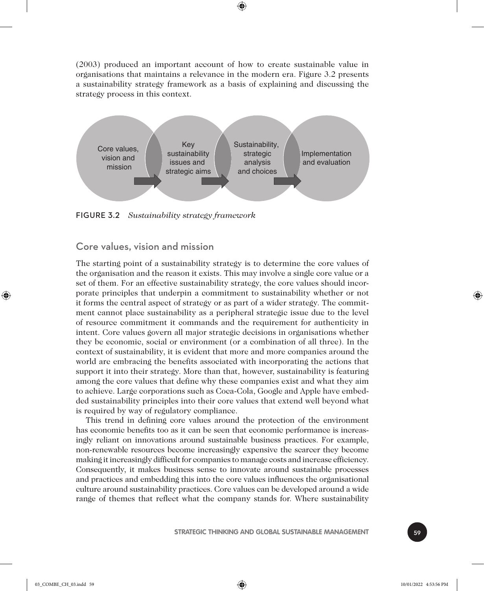(2003) produced an important account of how to create sustainable value in organisations that maintains a relevance in the modern era. Figure 3.2 presents a sustainability strategy framework as a basis of explaining and discussing the strategy process in this context.

⊕



FIGURE 3.2 *Sustainability strategy framework*

#### Core values, vision and mission

The starting point of a sustainability strategy is to determine the core values of the organisation and the reason it exists. This may involve a single core value or a set of them. For an effective sustainability strategy, the core values should incorporate principles that underpin a commitment to sustainability whether or not it forms the central aspect of strategy or as part of a wider strategy. The commitment cannot place sustainability as a peripheral strategic issue due to the level of resource commitment it commands and the requirement for authenticity in intent. Core values govern all major strategic decisions in organisations whether they be economic, social or environment (or a combination of all three). In the context of sustainability, it is evident that more and more companies around the world are embracing the benefits associated with incorporating the actions that support it into their strategy. More than that, however, sustainability is featuring among the core values that define why these companies exist and what they aim to achieve. Large corporations such as Coca-Cola, Google and Apple have embedded sustainability principles into their core values that extend well beyond what is required by way of regulatory compliance.

This trend in defining core values around the protection of the environment has economic benefits too as it can be seen that economic performance is increasingly reliant on innovations around sustainable business practices. For example, non-renewable resources become increasingly expensive the scarcer they become making it increasingly difficult for companies to manage costs and increase efficiency. Consequently, it makes business sense to innovate around sustainable processes and practices and embedding this into the core values influences the organisational culture around sustainability practices. Core values can be developed around a wide range of themes that reflect what the company stands for. Where sustainability

**STRATEGIC THINKING AND GLOBAL SUSTAINABLE MANAGEMENT FOR SOLUTION** 

⊕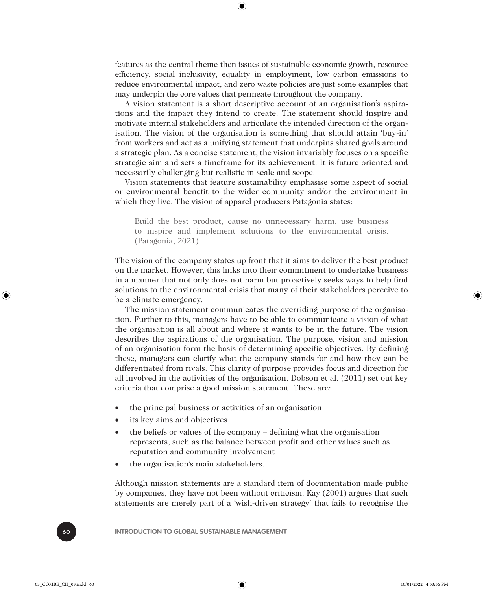features as the central theme then issues of sustainable economic growth, resource efficiency, social inclusivity, equality in employment, low carbon emissions to reduce environmental impact, and zero waste policies are just some examples that may underpin the core values that permeate throughout the company.

⊕

A vision statement is a short descriptive account of an organisation's aspirations and the impact they intend to create. The statement should inspire and motivate internal stakeholders and articulate the intended direction of the organisation. The vision of the organisation is something that should attain 'buy-in' from workers and act as a unifying statement that underpins shared goals around a strategic plan. As a concise statement, the vision invariably focuses on a specific strategic aim and sets a timeframe for its achievement. It is future oriented and necessarily challenging but realistic in scale and scope.

Vision statements that feature sustainability emphasise some aspect of social or environmental benefit to the wider community and/or the environment in which they live. The vision of apparel producers Patagonia states:

Build the best product, cause no unnecessary harm, use business to inspire and implement solutions to the environmental crisis. (Patagonia, 2021)

The vision of the company states up front that it aims to deliver the best product on the market. However, this links into their commitment to undertake business in a manner that not only does not harm but proactively seeks ways to help find solutions to the environmental crisis that many of their stakeholders perceive to be a climate emergency.

The mission statement communicates the overriding purpose of the organisation. Further to this, managers have to be able to communicate a vision of what the organisation is all about and where it wants to be in the future. The vision describes the aspirations of the organisation. The purpose, vision and mission of an organisation form the basis of determining specific objectives. By defining these, managers can clarify what the company stands for and how they can be differentiated from rivals. This clarity of purpose provides focus and direction for all involved in the activities of the organisation. Dobson et al. (2011) set out key criteria that comprise a good mission statement. These are:

- the principal business or activities of an organisation
- its key aims and objectives
- the beliefs or values of the company defining what the organisation represents, such as the balance between profit and other values such as reputation and community involvement
- the organisation's main stakeholders.

Although mission statements are a standard item of documentation made public by companies, they have not been without criticism. Kay (2001) argues that such statements are merely part of a 'wish-driven strategy' that fails to recognise the

60 **INTRODUCTION TO GLOBAL SUSTAINABLE MANAGEMENT**

♠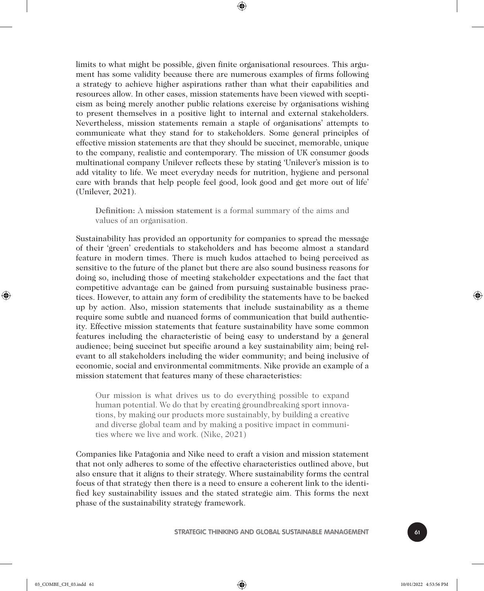limits to what might be possible, given finite organisational resources. This argument has some validity because there are numerous examples of firms following a strategy to achieve higher aspirations rather than what their capabilities and resources allow. In other cases, mission statements have been viewed with scepticism as being merely another public relations exercise by organisations wishing to present themselves in a positive light to internal and external stakeholders. Nevertheless, mission statements remain a staple of organisations' attempts to communicate what they stand for to stakeholders. Some general principles of effective mission statements are that they should be succinct, memorable, unique to the company, realistic and contemporary. The mission of UK consumer goods multinational company Unilever reflects these by stating 'Unilever's mission is to add vitality to life. We meet everyday needs for nutrition, hygiene and personal care with brands that help people feel good, look good and get more out of life' (Unilever, 2021).

⊕

**Definition:** A **mission statement** is a formal summary of the aims and values of an organisation.

Sustainability has provided an opportunity for companies to spread the message of their 'green' credentials to stakeholders and has become almost a standard feature in modern times. There is much kudos attached to being perceived as sensitive to the future of the planet but there are also sound business reasons for doing so, including those of meeting stakeholder expectations and the fact that competitive advantage can be gained from pursuing sustainable business practices. However, to attain any form of credibility the statements have to be backed up by action. Also, mission statements that include sustainability as a theme require some subtle and nuanced forms of communication that build authenticity. Effective mission statements that feature sustainability have some common features including the characteristic of being easy to understand by a general audience; being succinct but specific around a key sustainability aim; being relevant to all stakeholders including the wider community; and being inclusive of economic, social and environmental commitments. Nike provide an example of a mission statement that features many of these characteristics:

Our mission is what drives us to do everything possible to expand human potential. We do that by creating groundbreaking sport innovations, by making our products more sustainably, by building a creative and diverse global team and by making a positive impact in communities where we live and work. (Nike, 2021)

Companies like Patagonia and Nike need to craft a vision and mission statement that not only adheres to some of the effective characteristics outlined above, but also ensure that it aligns to their strategy. Where sustainability forms the central focus of that strategy then there is a need to ensure a coherent link to the identified key sustainability issues and the stated strategic aim. This forms the next phase of the sustainability strategy framework.

**STRATEGIC THINKING AND GLOBAL SUSTAINABLE MANAGEMENT** 

⊕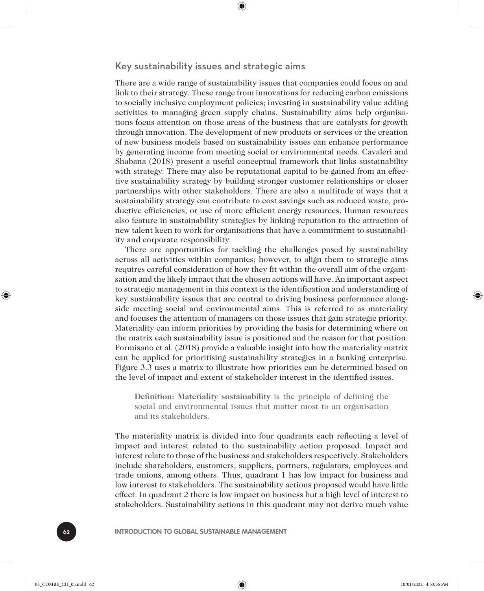Key sustainability issues and strategic aims

⊕

There are a wide range of sustainability issues that companies could focus on and link to their strategy. These range from innovations for reducing carbon emissions to socially inclusive employment policies; investing in sustainability value adding activities to managing green supply chains. Sustainability aims help organisations focus attention on those areas of the business that are catalysts for growth through innovation. The development of new products or services or the creation of new business models based on sustainability issues can enhance performance by generating income from meeting social or environmental needs. Cavaleri and Shabana (2018) present a useful conceptual framework that links sustainability with strategy. There may also be reputational capital to be gained from an effective sustainability strategy by building stronger customer relationships or closer partnerships with other stakeholders. There are also a multitude of ways that a sustainability strategy can contribute to cost savings such as reduced waste, productive efficiencies, or use of more efficient energy resources. Human resources also feature in sustainability strategies by linking reputation to the attraction of new talent keen to work for organisations that have a commitment to sustainability and corporate responsibility.

There are opportunities for tackling the challenges posed by sustainability across all activities within companies; however, to align them to strategic aims requires careful consideration of how they fit within the overall aim of the organisation and the likely impact that the chosen actions will have. An important aspect to strategic management in this context is the identification and understanding of key sustainability issues that are central to driving business performance alongside meeting social and environmental aims. This is referred to as materiality and focuses the attention of managers on those issues that gain strategic priority. Materiality can inform priorities by providing the basis for determining where on the matrix each sustainability issue is positioned and the reason for that position. Formisano et al. (2018) provide a valuable insight into how the materiality matrix can be applied for prioritising sustainability strategies in a banking enterprise. Figure 3.3 uses a matrix to illustrate how priorities can be determined based on the level of impact and extent of stakeholder interest in the identified issues.

**Definition: Materiality sustainability** is the principle of defining the social and environmental issues that matter most to an organisation and its stakeholders.

The materiality matrix is divided into four quadrants each reflecting a level of impact and interest related to the sustainability action proposed. Impact and interest relate to those of the business and stakeholders respectively. Stakeholders include shareholders, customers, suppliers, partners, regulators, employees and trade unions, among others. Thus, quadrant 1 has low impact for business and low interest to stakeholders. The sustainability actions proposed would have little effect. In quadrant 2 there is low impact on business but a high level of interest to stakeholders. Sustainability actions in this quadrant may not derive much value

62 **INTRODUCTION TO GLOBAL SUSTAINABLE MANAGEMENT**

♠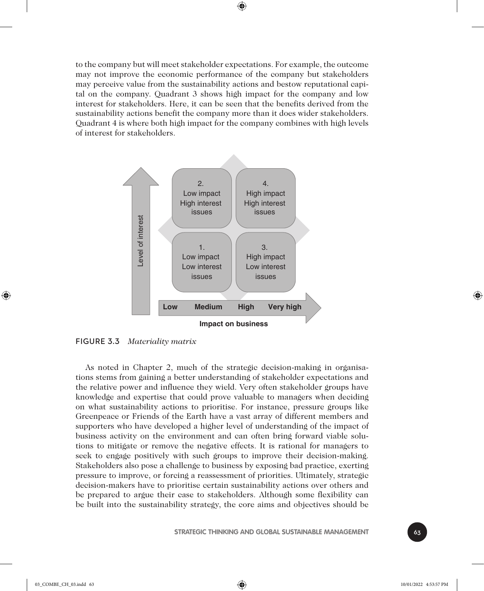to the company but will meet stakeholder expectations. For example, the outcome may not improve the economic performance of the company but stakeholders may perceive value from the sustainability actions and bestow reputational capital on the company. Quadrant 3 shows high impact for the company and low interest for stakeholders. Here, it can be seen that the benefits derived from the sustainability actions benefit the company more than it does wider stakeholders. Quadrant 4 is where both high impact for the company combines with high levels of interest for stakeholders.

⊕



FIGURE 3.3 *Materiality matrix*

As noted in Chapter 2, much of the strategic decision-making in organisations stems from gaining a better understanding of stakeholder expectations and the relative power and influence they wield. Very often stakeholder groups have knowledge and expertise that could prove valuable to managers when deciding on what sustainability actions to prioritise. For instance, pressure groups like Greenpeace or Friends of the Earth have a vast array of different members and supporters who have developed a higher level of understanding of the impact of business activity on the environment and can often bring forward viable solutions to mitigate or remove the negative effects. It is rational for managers to seek to engage positively with such groups to improve their decision-making. Stakeholders also pose a challenge to business by exposing bad practice, exerting pressure to improve, or forcing a reassessment of priorities. Ultimately, strategic decision-makers have to prioritise certain sustainability actions over others and be prepared to argue their case to stakeholders. Although some flexibility can be built into the sustainability strategy, the core aims and objectives should be



♠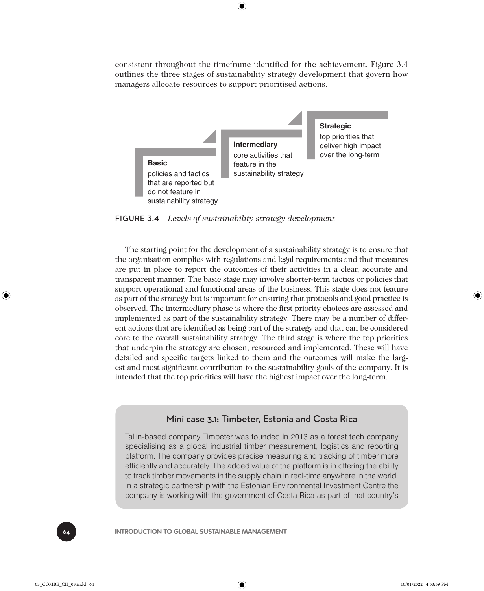consistent throughout the timeframe identified for the achievement. Figure 3.4 outlines the three stages of sustainability strategy development that govern how managers allocate resources to support prioritised actions.

⊕



FIGURE 3.4 *Levels of sustainability strategy development*

The starting point for the development of a sustainability strategy is to ensure that the organisation complies with regulations and legal requirements and that measures are put in place to report the outcomes of their activities in a clear, accurate and transparent manner. The basic stage may involve shorter-term tactics or policies that support operational and functional areas of the business. This stage does not feature as part of the strategy but is important for ensuring that protocols and good practice is observed. The intermediary phase is where the first priority choices are assessed and implemented as part of the sustainability strategy. There may be a number of different actions that are identified as being part of the strategy and that can be considered core to the overall sustainability strategy. The third stage is where the top priorities that underpin the strategy are chosen, resourced and implemented. These will have detailed and specific targets linked to them and the outcomes will make the largest and most significant contribution to the sustainability goals of the company. It is intended that the top priorities will have the highest impact over the long-term.

#### Mini case 3.1: Timbeter, Estonia and Costa Rica

Tallin-based company Timbeter was founded in 2013 as a forest tech company specialising as a global industrial timber measurement, logistics and reporting platform. The company provides precise measuring and tracking of timber more efficiently and accurately. The added value of the platform is in offering the ability to track timber movements in the supply chain in real-time anywhere in the world. In a strategic partnership with the Estonian Environmental Investment Centre the company is working with the government of Costa Rica as part of that country's

**INTRODUCTION TO GLOBAL SUSTAINABLE MANAGEMENT** 

♠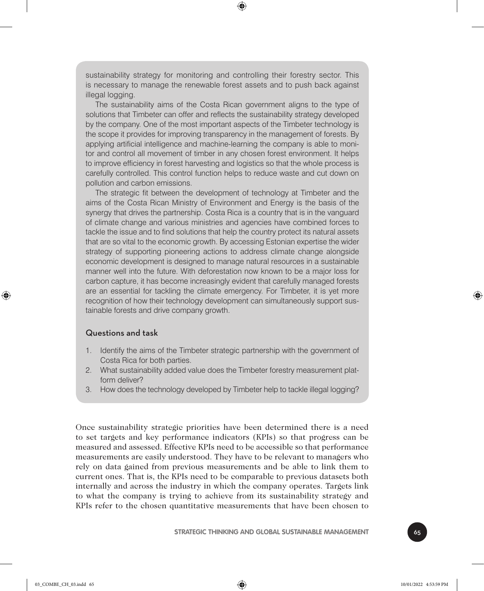sustainability strategy for monitoring and controlling their forestry sector. This is necessary to manage the renewable forest assets and to push back against illegal logging.

⊕

The sustainability aims of the Costa Rican government aligns to the type of solutions that Timbeter can offer and reflects the sustainability strategy developed by the company. One of the most important aspects of the Timbeter technology is the scope it provides for improving transparency in the management of forests. By applying artificial intelligence and machine-learning the company is able to monitor and control all movement of timber in any chosen forest environment. It helps to improve efficiency in forest harvesting and logistics so that the whole process is carefully controlled. This control function helps to reduce waste and cut down on pollution and carbon emissions.

The strategic fit between the development of technology at Timbeter and the aims of the Costa Rican Ministry of Environment and Energy is the basis of the synergy that drives the partnership. Costa Rica is a country that is in the vanguard of climate change and various ministries and agencies have combined forces to tackle the issue and to find solutions that help the country protect its natural assets that are so vital to the economic growth. By accessing Estonian expertise the wider strategy of supporting pioneering actions to address climate change alongside economic development is designed to manage natural resources in a sustainable manner well into the future. With deforestation now known to be a major loss for carbon capture, it has become increasingly evident that carefully managed forests are an essential for tackling the climate emergency. For Timbeter, it is yet more recognition of how their technology development can simultaneously support sustainable forests and drive company growth.

#### Questions and task

- 1. Identify the aims of the Timbeter strategic partnership with the government of Costa Rica for both parties.
- 2. What sustainability added value does the Timbeter forestry measurement platform deliver?
- 3. How does the technology developed by Timbeter help to tackle illegal logging?

Once sustainability strategic priorities have been determined there is a need to set targets and key performance indicators (KPIs) so that progress can be measured and assessed. Effective KPIs need to be accessible so that performance measurements are easily understood. They have to be relevant to managers who rely on data gained from previous measurements and be able to link them to current ones. That is, the KPIs need to be comparable to previous datasets both internally and across the industry in which the company operates. Targets link to what the company is trying to achieve from its sustainability strategy and KPIs refer to the chosen quantitative measurements that have been chosen to

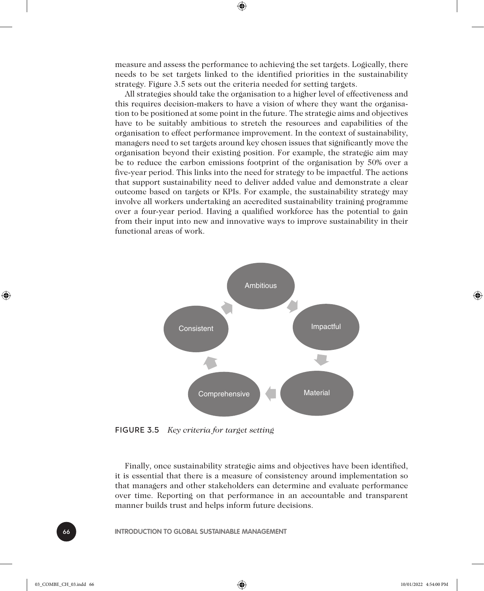measure and assess the performance to achieving the set targets. Logically, there needs to be set targets linked to the identified priorities in the sustainability strategy. Figure 3.5 sets out the criteria needed for setting targets.

⊕

All strategies should take the organisation to a higher level of effectiveness and this requires decision-makers to have a vision of where they want the organisation to be positioned at some point in the future. The strategic aims and objectives have to be suitably ambitious to stretch the resources and capabilities of the organisation to effect performance improvement. In the context of sustainability, managers need to set targets around key chosen issues that significantly move the organisation beyond their existing position. For example, the strategic aim may be to reduce the carbon emissions footprint of the organisation by 50% over a five-year period. This links into the need for strategy to be impactful. The actions that support sustainability need to deliver added value and demonstrate a clear outcome based on targets or KPIs. For example, the sustainability strategy may involve all workers undertaking an accredited sustainability training programme over a four-year period. Having a qualified workforce has the potential to gain from their input into new and innovative ways to improve sustainability in their functional areas of work.



FIGURE 3.5 *Key criteria for target setting*

Finally, once sustainability strategic aims and objectives have been identified, it is essential that there is a measure of consistency around implementation so that managers and other stakeholders can determine and evaluate performance over time. Reporting on that performance in an accountable and transparent manner builds trust and helps inform future decisions.

66 **INTRODUCTION TO GLOBAL SUSTAINABLE MANAGEMENT**

⊕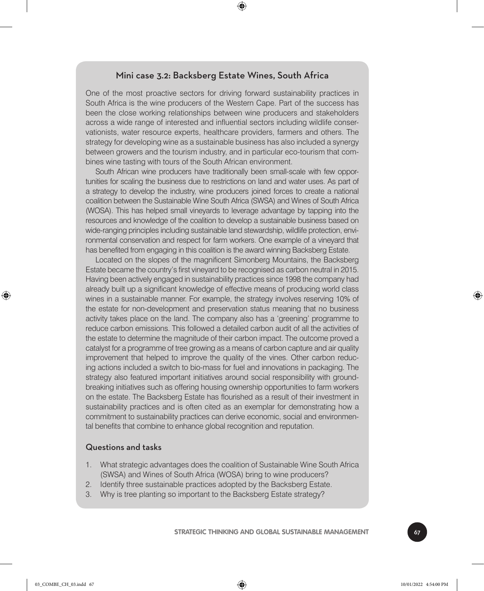#### Mini case 3.2: Backsberg Estate Wines, South Africa

⊕

One of the most proactive sectors for driving forward sustainability practices in South Africa is the wine producers of the Western Cape. Part of the success has been the close working relationships between wine producers and stakeholders across a wide range of interested and influential sectors including wildlife conservationists, water resource experts, healthcare providers, farmers and others. The strategy for developing wine as a sustainable business has also included a synergy between growers and the tourism industry, and in particular eco-tourism that combines wine tasting with tours of the South African environment.

South African wine producers have traditionally been small-scale with few opportunities for scaling the business due to restrictions on land and water uses. As part of a strategy to develop the industry, wine producers joined forces to create a national coalition between the Sustainable Wine South Africa (SWSA) and Wines of South Africa (WOSA). This has helped small vineyards to leverage advantage by tapping into the resources and knowledge of the coalition to develop a sustainable business based on wide-ranging principles including sustainable land stewardship, wildlife protection, environmental conservation and respect for farm workers. One example of a vineyard that has benefited from engaging in this coalition is the award winning Backsberg Estate.

Located on the slopes of the magnificent Simonberg Mountains, the Backsberg Estate became the country's first vineyard to be recognised as carbon neutral in 2015. Having been actively engaged in sustainability practices since 1998 the company had already built up a significant knowledge of effective means of producing world class wines in a sustainable manner. For example, the strategy involves reserving 10% of the estate for non-development and preservation status meaning that no business activity takes place on the land. The company also has a 'greening' programme to reduce carbon emissions. This followed a detailed carbon audit of all the activities of the estate to determine the magnitude of their carbon impact. The outcome proved a catalyst for a programme of tree growing as a means of carbon capture and air quality improvement that helped to improve the quality of the vines. Other carbon reducing actions included a switch to bio-mass for fuel and innovations in packaging. The strategy also featured important initiatives around social responsibility with groundbreaking initiatives such as offering housing ownership opportunities to farm workers on the estate. The Backsberg Estate has flourished as a result of their investment in sustainability practices and is often cited as an exemplar for demonstrating how a commitment to sustainability practices can derive economic, social and environmental benefits that combine to enhance global recognition and reputation.

#### Questions and tasks

- 1. What strategic advantages does the coalition of Sustainable Wine South Africa (SWSA) and Wines of South Africa (WOSA) bring to wine producers?
- 2. Identify three sustainable practices adopted by the Backsberg Estate.
- 3. Why is tree planting so important to the Backsberg Estate strategy?

**STRATEGIC THINKING AND GLOBAL SUSTAINABLE MANAGEMENT** 

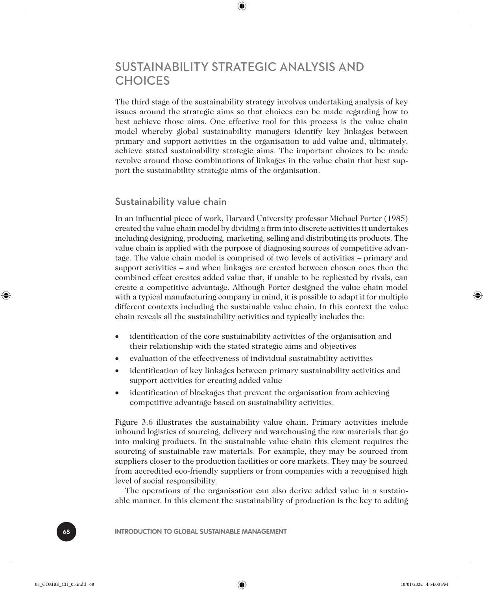## SUSTAINABILITY STRATEGIC ANALYSIS AND **CHOICES**

⊕

The third stage of the sustainability strategy involves undertaking analysis of key issues around the strategic aims so that choices can be made regarding how to best achieve those aims. One effective tool for this process is the value chain model whereby global sustainability managers identify key linkages between primary and support activities in the organisation to add value and, ultimately, achieve stated sustainability strategic aims. The important choices to be made revolve around those combinations of linkages in the value chain that best support the sustainability strategic aims of the organisation.

#### Sustainability value chain

In an influential piece of work, Harvard University professor Michael Porter (1985) created the value chain model by dividing a firm into discrete activities it undertakes including designing, producing, marketing, selling and distributing its products. The value chain is applied with the purpose of diagnosing sources of competitive advantage. The value chain model is comprised of two levels of activities – primary and support activities – and when linkages are created between chosen ones then the combined effect creates added value that, if unable to be replicated by rivals, can create a competitive advantage. Although Porter designed the value chain model with a typical manufacturing company in mind, it is possible to adapt it for multiple different contexts including the sustainable value chain. In this context the value chain reveals all the sustainability activities and typically includes the:

- identification of the core sustainability activities of the organisation and their relationship with the stated strategic aims and objectives
- evaluation of the effectiveness of individual sustainability activities
- identification of key linkages between primary sustainability activities and support activities for creating added value
- identification of blockages that prevent the organisation from achieving competitive advantage based on sustainability activities.

Figure 3.6 illustrates the sustainability value chain. Primary activities include inbound logistics of sourcing, delivery and warehousing the raw materials that go into making products. In the sustainable value chain this element requires the sourcing of sustainable raw materials. For example, they may be sourced from suppliers closer to the production facilities or core markets. They may be sourced from accredited eco-friendly suppliers or from companies with a recognised high level of social responsibility.

The operations of the organisation can also derive added value in a sustainable manner. In this element the sustainability of production is the key to adding

68 **INTRODUCTION TO GLOBAL SUSTAINABLE MANAGEMENT**

♠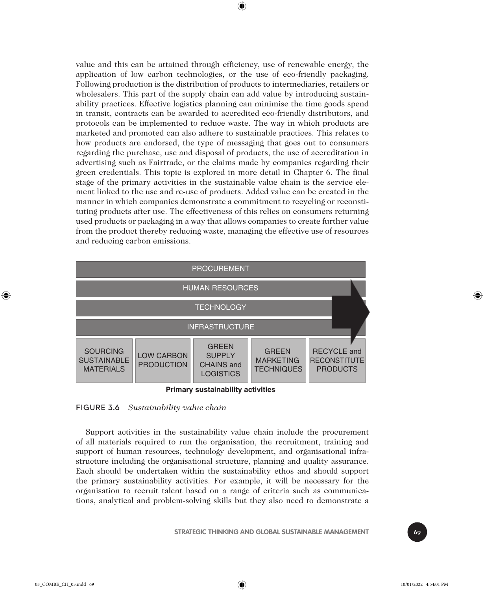value and this can be attained through efficiency, use of renewable energy, the application of low carbon technologies, or the use of eco-friendly packaging. Following production is the distribution of products to intermediaries, retailers or wholesalers. This part of the supply chain can add value by introducing sustainability practices. Effective logistics planning can minimise the time goods spend in transit, contracts can be awarded to accredited eco-friendly distributors, and protocols can be implemented to reduce waste. The way in which products are marketed and promoted can also adhere to sustainable practices. This relates to how products are endorsed, the type of messaging that goes out to consumers regarding the purchase, use and disposal of products, the use of accreditation in advertising such as Fairtrade, or the claims made by companies regarding their green credentials. This topic is explored in more detail in Chapter 6. The final stage of the primary activities in the sustainable value chain is the service element linked to the use and re-use of products. Added value can be created in the manner in which companies demonstrate a commitment to recycling or reconstituting products after use. The effectiveness of this relies on consumers returning used products or packaging in a way that allows companies to create further value from the product thereby reducing waste, managing the effective use of resources and reducing carbon emissions.

⊕



**Primary sustainability activities**

#### FIGURE 3.6 *Sustainability value chain*

Support activities in the sustainability value chain include the procurement of all materials required to run the organisation, the recruitment, training and support of human resources, technology development, and organisational infrastructure including the organisational structure, planning and quality assurance. Each should be undertaken within the sustainability ethos and should support the primary sustainability activities. For example, it will be necessary for the organisation to recruit talent based on a range of criteria such as communications, analytical and problem-solving skills but they also need to demonstrate a



♠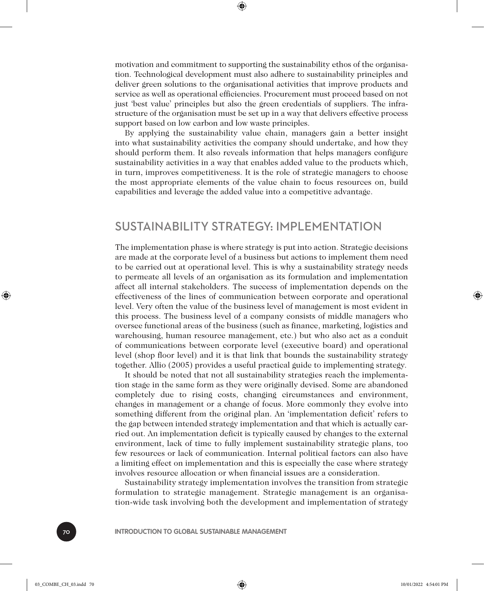motivation and commitment to supporting the sustainability ethos of the organisation. Technological development must also adhere to sustainability principles and deliver green solutions to the organisational activities that improve products and service as well as operational efficiencies. Procurement must proceed based on not just 'best value' principles but also the green credentials of suppliers. The infrastructure of the organisation must be set up in a way that delivers effective process support based on low carbon and low waste principles.

⊕

By applying the sustainability value chain, managers gain a better insight into what sustainability activities the company should undertake, and how they should perform them. It also reveals information that helps managers configure sustainability activities in a way that enables added value to the products which, in turn, improves competitiveness. It is the role of strategic managers to choose the most appropriate elements of the value chain to focus resources on, build capabilities and leverage the added value into a competitive advantage.

#### SUSTAINABILITY STRATEGY: IMPLEMENTATION

The implementation phase is where strategy is put into action. Strategic decisions are made at the corporate level of a business but actions to implement them need to be carried out at operational level. This is why a sustainability strategy needs to permeate all levels of an organisation as its formulation and implementation affect all internal stakeholders. The success of implementation depends on the effectiveness of the lines of communication between corporate and operational level. Very often the value of the business level of management is most evident in this process. The business level of a company consists of middle managers who oversee functional areas of the business (such as finance, marketing, logistics and warehousing, human resource management, etc.) but who also act as a conduit of communications between corporate level (executive board) and operational level (shop floor level) and it is that link that bounds the sustainability strategy together. Allio (2005) provides a useful practical guide to implementing strategy.

It should be noted that not all sustainability strategies reach the implementation stage in the same form as they were originally devised. Some are abandoned completely due to rising costs, changing circumstances and environment, changes in management or a change of focus. More commonly they evolve into something different from the original plan. An 'implementation deficit' refers to the gap between intended strategy implementation and that which is actually carried out. An implementation deficit is typically caused by changes to the external environment, lack of time to fully implement sustainability strategic plans, too few resources or lack of communication. Internal political factors can also have a limiting effect on implementation and this is especially the case where strategy involves resource allocation or when financial issues are a consideration.

Sustainability strategy implementation involves the transition from strategic formulation to strategic management. Strategic management is an organisation-wide task involving both the development and implementation of strategy

70 **INTRODUCTION TO GLOBAL SUSTAINABLE MANAGEMENT**

♠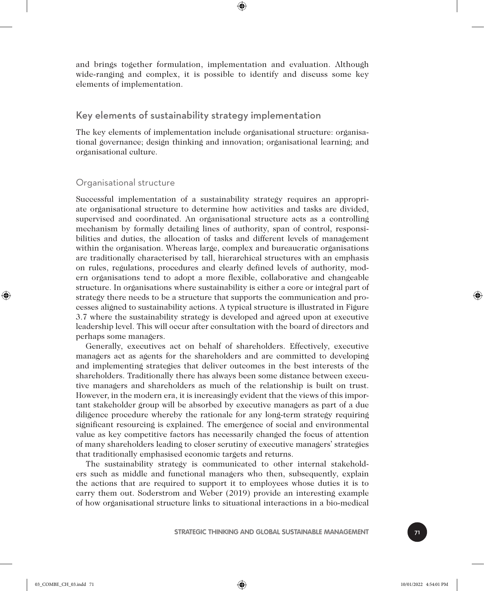and brings together formulation, implementation and evaluation. Although wide-ranging and complex, it is possible to identify and discuss some key elements of implementation.

⊕

#### Key elements of sustainability strategy implementation

The key elements of implementation include organisational structure: organisational governance; design thinking and innovation; organisational learning; and organisational culture.

#### Organisational structure

Successful implementation of a sustainability strategy requires an appropriate organisational structure to determine how activities and tasks are divided, supervised and coordinated. An organisational structure acts as a controlling mechanism by formally detailing lines of authority, span of control, responsibilities and duties, the allocation of tasks and different levels of management within the organisation. Whereas large, complex and bureaucratic organisations are traditionally characterised by tall, hierarchical structures with an emphasis on rules, regulations, procedures and clearly defined levels of authority, modern organisations tend to adopt a more flexible, collaborative and changeable structure. In organisations where sustainability is either a core or integral part of strategy there needs to be a structure that supports the communication and processes aligned to sustainability actions. A typical structure is illustrated in Figure 3.7 where the sustainability strategy is developed and agreed upon at executive leadership level. This will occur after consultation with the board of directors and perhaps some managers.

Generally, executives act on behalf of shareholders. Effectively, executive managers act as agents for the shareholders and are committed to developing and implementing strategies that deliver outcomes in the best interests of the shareholders. Traditionally there has always been some distance between executive managers and shareholders as much of the relationship is built on trust. However, in the modern era, it is increasingly evident that the views of this important stakeholder group will be absorbed by executive managers as part of a due diligence procedure whereby the rationale for any long-term strategy requiring significant resourcing is explained. The emergence of social and environmental value as key competitive factors has necessarily changed the focus of attention of many shareholders leading to closer scrutiny of executive managers' strategies that traditionally emphasised economic targets and returns.

The sustainability strategy is communicated to other internal stakeholders such as middle and functional managers who then, subsequently, explain the actions that are required to support it to employees whose duties it is to carry them out. Soderstrom and Weber (2019) provide an interesting example of how organisational structure links to situational interactions in a bio-medical



⊕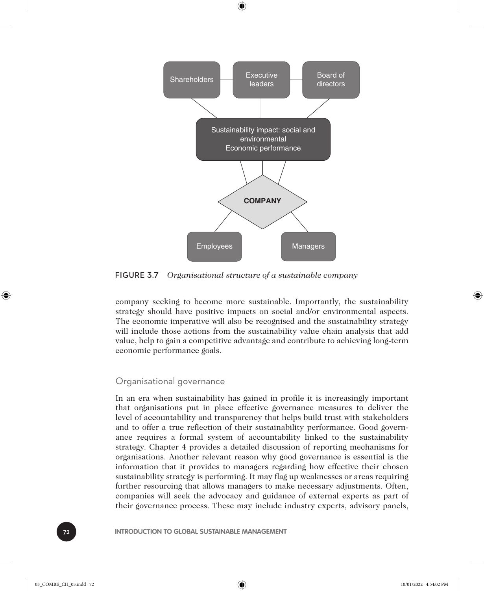

⊕

FIGURE 3.7 *Organisational structure of a sustainable company*

company seeking to become more sustainable. Importantly, the sustainability strategy should have positive impacts on social and/or environmental aspects. The economic imperative will also be recognised and the sustainability strategy will include those actions from the sustainability value chain analysis that add value, help to gain a competitive advantage and contribute to achieving long-term economic performance goals.

#### Organisational governance

In an era when sustainability has gained in profile it is increasingly important that organisations put in place effective governance measures to deliver the level of accountability and transparency that helps build trust with stakeholders and to offer a true reflection of their sustainability performance. Good governance requires a formal system of accountability linked to the sustainability strategy. Chapter 4 provides a detailed discussion of reporting mechanisms for organisations. Another relevant reason why good governance is essential is the information that it provides to managers regarding how effective their chosen sustainability strategy is performing. It may flag up weaknesses or areas requiring further resourcing that allows managers to make necessary adjustments. Often, companies will seek the advocacy and guidance of external experts as part of their governance process. These may include industry experts, advisory panels,

**INTRODUCTION TO GLOBAL SUSTAINABLE MANAGEMENT** 

⊕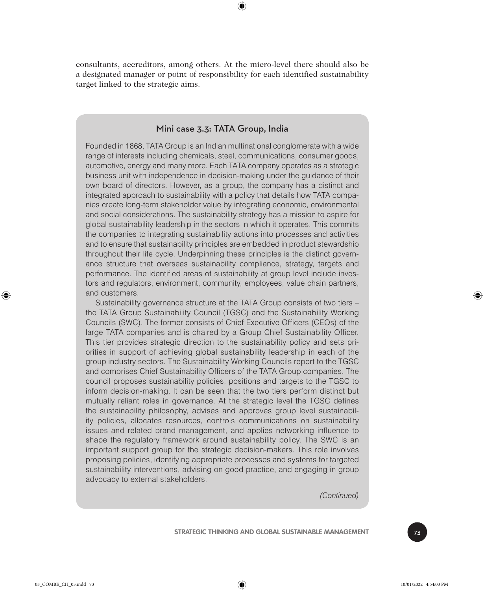consultants, accreditors, among others. At the micro-level there should also be a designated manager or point of responsibility for each identified sustainability target linked to the strategic aims.

⊕

#### Mini case 3.3: TATA Group, India

Founded in 1868, TATA Group is an Indian multinational conglomerate with a wide range of interests including chemicals, steel, communications, consumer goods, automotive, energy and many more. Each TATA company operates as a strategic business unit with independence in decision-making under the guidance of their own board of directors. However, as a group, the company has a distinct and integrated approach to sustainability with a policy that details how TATA companies create long-term stakeholder value by integrating economic, environmental and social considerations. The sustainability strategy has a mission to aspire for global sustainability leadership in the sectors in which it operates. This commits the companies to integrating sustainability actions into processes and activities and to ensure that sustainability principles are embedded in product stewardship throughout their life cycle. Underpinning these principles is the distinct governance structure that oversees sustainability compliance, strategy, targets and performance. The identified areas of sustainability at group level include investors and regulators, environment, community, employees, value chain partners, and customers.

Sustainability governance structure at the TATA Group consists of two tiers – the TATA Group Sustainability Council (TGSC) and the Sustainability Working Councils (SWC). The former consists of Chief Executive Officers (CEOs) of the large TATA companies and is chaired by a Group Chief Sustainability Officer. This tier provides strategic direction to the sustainability policy and sets priorities in support of achieving global sustainability leadership in each of the group industry sectors. The Sustainability Working Councils report to the TGSC and comprises Chief Sustainability Officers of the TATA Group companies. The council proposes sustainability policies, positions and targets to the TGSC to inform decision-making. It can be seen that the two tiers perform distinct but mutually reliant roles in governance. At the strategic level the TGSC defines the sustainability philosophy, advises and approves group level sustainability policies, allocates resources, controls communications on sustainability issues and related brand management, and applies networking influence to shape the regulatory framework around sustainability policy. The SWC is an important support group for the strategic decision-makers. This role involves proposing policies, identifying appropriate processes and systems for targeted sustainability interventions, advising on good practice, and engaging in group advocacy to external stakeholders.

*(Continued)*

**STRATEGIC THINKING AND GLOBAL SUSTAINABLE MANAGEMENT** 

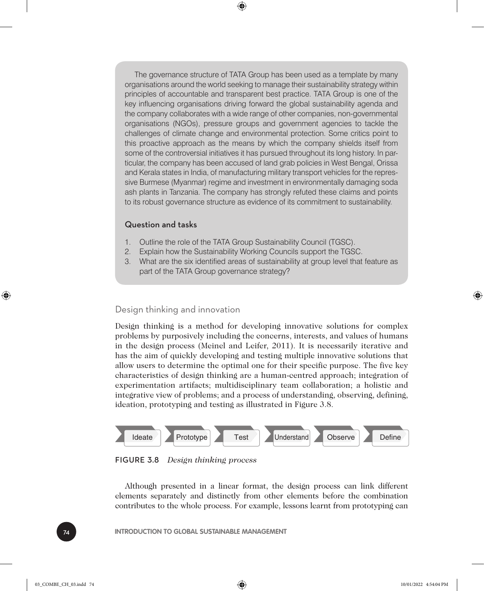The governance structure of TATA Group has been used as a template by many organisations around the world seeking to manage their sustainability strategy within principles of accountable and transparent best practice. TATA Group is one of the key influencing organisations driving forward the global sustainability agenda and the company collaborates with a wide range of other companies, non-governmental organisations (NGOs), pressure groups and government agencies to tackle the challenges of climate change and environmental protection. Some critics point to this proactive approach as the means by which the company shields itself from some of the controversial initiatives it has pursued throughout its long history. In particular, the company has been accused of land grab policies in West Bengal, Orissa and Kerala states in India, of manufacturing military transport vehicles for the repressive Burmese (Myanmar) regime and investment in environmentally damaging soda ash plants in Tanzania. The company has strongly refuted these claims and points to its robust governance structure as evidence of its commitment to sustainability.

⊕

#### Question and tasks

- 1. Outline the role of the TATA Group Sustainability Council (TGSC).
- 2. Explain how the Sustainability Working Councils support the TGSC.
- 3. What are the six identified areas of sustainability at group level that feature as part of the TATA Group governance strategy?

#### Design thinking and innovation

Design thinking is a method for developing innovative solutions for complex problems by purposively including the concerns, interests, and values of humans in the design process (Meinel and Leifer, 2011). It is necessarily iterative and has the aim of quickly developing and testing multiple innovative solutions that allow users to determine the optimal one for their specific purpose. The five key characteristics of design thinking are a human-centred approach; integration of experimentation artifacts; multidisciplinary team collaboration; a holistic and integrative view of problems; and a process of understanding, observing, defining, ideation, prototyping and testing as illustrated in Figure 3.8.





Although presented in a linear format, the design process can link different elements separately and distinctly from other elements before the combination contributes to the whole process. For example, lessons learnt from prototyping can

**INTRODUCTION TO GLOBAL SUSTAINABLE MANAGEMENT** 

⊕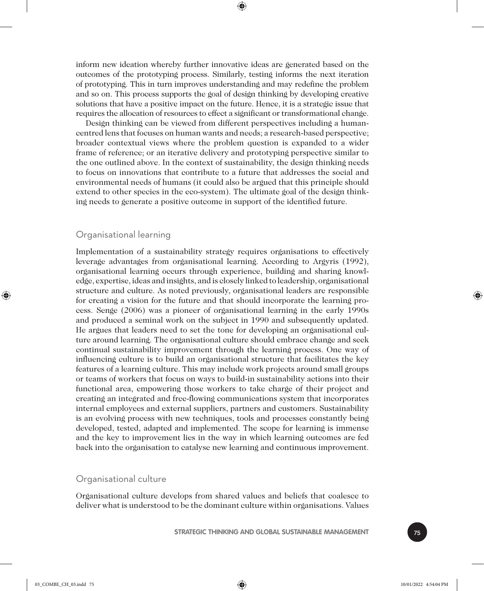inform new ideation whereby further innovative ideas are generated based on the outcomes of the prototyping process. Similarly, testing informs the next iteration of prototyping. This in turn improves understanding and may redefine the problem and so on. This process supports the goal of design thinking by developing creative solutions that have a positive impact on the future. Hence, it is a strategic issue that requires the allocation of resources to effect a significant or transformational change.

⊕

Design thinking can be viewed from different perspectives including a humancentred lens that focuses on human wants and needs; a research-based perspective; broader contextual views where the problem question is expanded to a wider frame of reference; or an iterative delivery and prototyping perspective similar to the one outlined above. In the context of sustainability, the design thinking needs to focus on innovations that contribute to a future that addresses the social and environmental needs of humans (it could also be argued that this principle should extend to other species in the eco-system). The ultimate goal of the design thinking needs to generate a positive outcome in support of the identified future.

#### Organisational learning

Implementation of a sustainability strategy requires organisations to effectively leverage advantages from organisational learning. According to Argyris (1992), organisational learning occurs through experience, building and sharing knowledge, expertise, ideas and insights, and is closely linked to leadership, organisational structure and culture. As noted previously, organisational leaders are responsible for creating a vision for the future and that should incorporate the learning process. Senge (2006) was a pioneer of organisational learning in the early 1990s and produced a seminal work on the subject in 1990 and subsequently updated. He argues that leaders need to set the tone for developing an organisational culture around learning. The organisational culture should embrace change and seek continual sustainability improvement through the learning process. One way of influencing culture is to build an organisational structure that facilitates the key features of a learning culture. This may include work projects around small groups or teams of workers that focus on ways to build-in sustainability actions into their functional area, empowering those workers to take charge of their project and creating an integrated and free-flowing communications system that incorporates internal employees and external suppliers, partners and customers. Sustainability is an evolving process with new techniques, tools and processes constantly being developed, tested, adapted and implemented. The scope for learning is immense and the key to improvement lies in the way in which learning outcomes are fed back into the organisation to catalyse new learning and continuous improvement.

#### Organisational culture

Organisational culture develops from shared values and beliefs that coalesce to deliver what is understood to be the dominant culture within organisations. Values

**STRATEGIC THINKING AND GLOBAL SUSTAINABLE MANAGEMENT** 75



⊕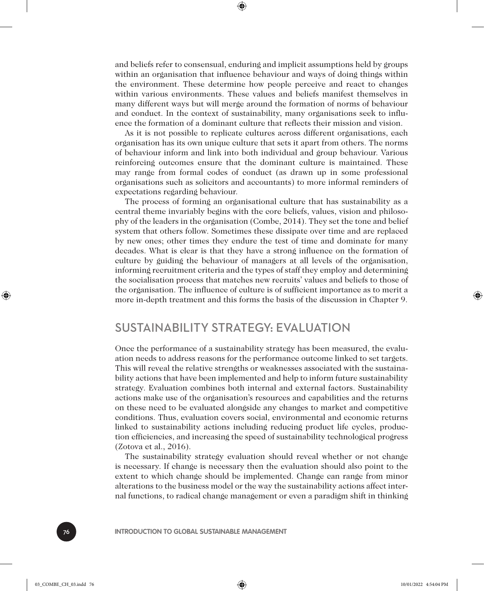and beliefs refer to consensual, enduring and implicit assumptions held by groups within an organisation that influence behaviour and ways of doing things within the environment. These determine how people perceive and react to changes within various environments. These values and beliefs manifest themselves in many different ways but will merge around the formation of norms of behaviour and conduct. In the context of sustainability, many organisations seek to influence the formation of a dominant culture that reflects their mission and vision.

⊕

As it is not possible to replicate cultures across different organisations, each organisation has its own unique culture that sets it apart from others. The norms of behaviour inform and link into both individual and group behaviour. Various reinforcing outcomes ensure that the dominant culture is maintained. These may range from formal codes of conduct (as drawn up in some professional organisations such as solicitors and accountants) to more informal reminders of expectations regarding behaviour.

The process of forming an organisational culture that has sustainability as a central theme invariably begins with the core beliefs, values, vision and philosophy of the leaders in the organisation (Combe, 2014). They set the tone and belief system that others follow. Sometimes these dissipate over time and are replaced by new ones; other times they endure the test of time and dominate for many decades. What is clear is that they have a strong influence on the formation of culture by guiding the behaviour of managers at all levels of the organisation, informing recruitment criteria and the types of staff they employ and determining the socialisation process that matches new recruits' values and beliefs to those of the organisation. The influence of culture is of sufficient importance as to merit a more in-depth treatment and this forms the basis of the discussion in Chapter 9.

### SUSTAINABILITY STRATEGY: EVALUATION

Once the performance of a sustainability strategy has been measured, the evaluation needs to address reasons for the performance outcome linked to set targets. This will reveal the relative strengths or weaknesses associated with the sustainability actions that have been implemented and help to inform future sustainability strategy. Evaluation combines both internal and external factors. Sustainability actions make use of the organisation's resources and capabilities and the returns on these need to be evaluated alongside any changes to market and competitive conditions. Thus, evaluation covers social, environmental and economic returns linked to sustainability actions including reducing product life cycles, production efficiencies, and increasing the speed of sustainability technological progress (Zotova et al., 2016).

The sustainability strategy evaluation should reveal whether or not change is necessary. If change is necessary then the evaluation should also point to the extent to which change should be implemented. Change can range from minor alterations to the business model or the way the sustainability actions affect internal functions, to radical change management or even a paradigm shift in thinking

♠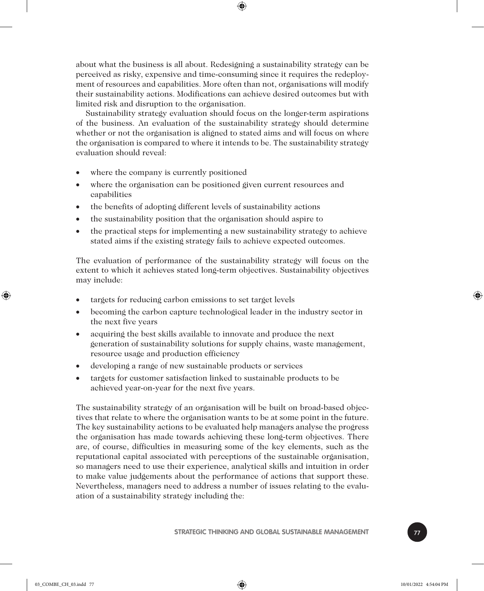about what the business is all about. Redesigning a sustainability strategy can be perceived as risky, expensive and time-consuming since it requires the redeployment of resources and capabilities. More often than not, organisations will modify their sustainability actions. Modifications can achieve desired outcomes but with limited risk and disruption to the organisation.

⊕

Sustainability strategy evaluation should focus on the longer-term aspirations of the business. An evaluation of the sustainability strategy should determine whether or not the organisation is aligned to stated aims and will focus on where the organisation is compared to where it intends to be. The sustainability strategy evaluation should reveal:

- where the company is currently positioned
- where the organisation can be positioned given current resources and capabilities
- the benefits of adopting different levels of sustainability actions
- the sustainability position that the organisation should aspire to
- the practical steps for implementing a new sustainability strategy to achieve stated aims if the existing strategy fails to achieve expected outcomes.

The evaluation of performance of the sustainability strategy will focus on the extent to which it achieves stated long-term objectives. Sustainability objectives may include:

- targets for reducing carbon emissions to set target levels
- becoming the carbon capture technological leader in the industry sector in the next five years
- acquiring the best skills available to innovate and produce the next generation of sustainability solutions for supply chains, waste management, resource usage and production efficiency
- developing a range of new sustainable products or services
- targets for customer satisfaction linked to sustainable products to be achieved year-on-year for the next five years.

The sustainability strategy of an organisation will be built on broad-based objectives that relate to where the organisation wants to be at some point in the future. The key sustainability actions to be evaluated help managers analyse the progress the organisation has made towards achieving these long-term objectives. There are, of course, difficulties in measuring some of the key elements, such as the reputational capital associated with perceptions of the sustainable organisation, so managers need to use their experience, analytical skills and intuition in order to make value judgements about the performance of actions that support these. Nevertheless, managers need to address a number of issues relating to the evaluation of a sustainability strategy including the:

**STRATEGIC THINKING AND GLOBAL SUSTAINABLE MANAGEMENT** 



⊕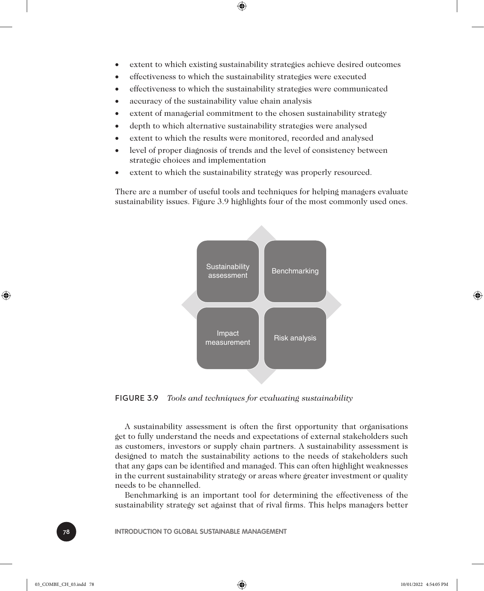- extent to which existing sustainability strategies achieve desired outcomes
- effectiveness to which the sustainability strategies were executed

⊕

- effectiveness to which the sustainability strategies were communicated
- accuracy of the sustainability value chain analysis
- extent of managerial commitment to the chosen sustainability strategy
- depth to which alternative sustainability strategies were analysed
- extent to which the results were monitored, recorded and analysed
- level of proper diagnosis of trends and the level of consistency between strategic choices and implementation
- extent to which the sustainability strategy was properly resourced.

There are a number of useful tools and techniques for helping managers evaluate sustainability issues. Figure 3.9 highlights four of the most commonly used ones.



FIGURE 3.9 *Tools and techniques for evaluating sustainability*

A sustainability assessment is often the first opportunity that organisations get to fully understand the needs and expectations of external stakeholders such as customers, investors or supply chain partners. A sustainability assessment is designed to match the sustainability actions to the needs of stakeholders such that any gaps can be identified and managed. This can often highlight weaknesses in the current sustainability strategy or areas where greater investment or quality needs to be channelled.

Benchmarking is an important tool for determining the effectiveness of the sustainability strategy set against that of rival firms. This helps managers better

**INTRODUCTION TO GLOBAL SUSTAINABLE MANAGEMENT** 

⊕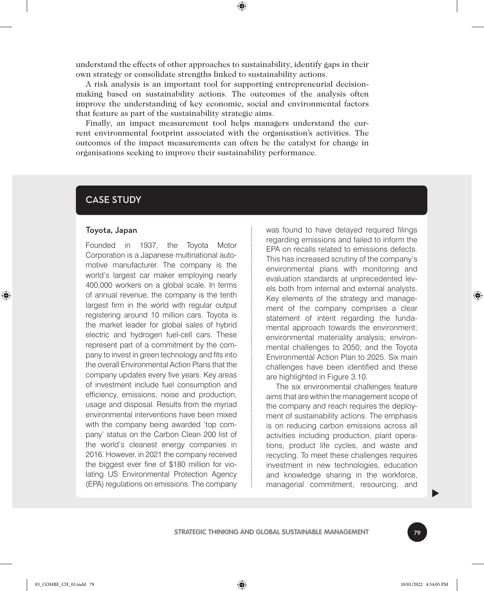understand the effects of other approaches to sustainability, identify gaps in their own strategy or consolidate strengths linked to sustainability actions.

⊕

A risk analysis is an important tool for supporting entrepreneurial decisionmaking based on sustainability actions. The outcomes of the analysis often improve the understanding of key economic, social and environmental factors that feature as part of the sustainability strategic aims.

Finally, an impact measurement tool helps managers understand the current environmental footprint associated with the organisation's activities. The outcomes of the impact measurements can often be the catalyst for change in organisations seeking to improve their sustainability performance.

#### CASE STUDY

#### Toyota, Japan

Founded in 1937, the Toyota Motor Corporation is a Japanese multinational automotive manufacturer. The company is the world's largest car maker employing nearly 400,000 workers on a global scale. In terms of annual revenue, the company is the tenth largest firm in the world with regular output registering around 10 million cars. Toyota is the market leader for global sales of hybrid electric and hydrogen fuel-cell cars. These represent part of a commitment by the company to invest in green technology and fits into the overall Environmental Action Plans that the company updates every five years. Key areas of investment include fuel consumption and efficiency, emissions, noise and production, usage and disposal. Results from the myriad environmental interventions have been mixed with the company being awarded 'top company' status on the Carbon Clean 200 list of the world's cleanest energy companies in 2016. However, in 2021 the company received the biggest ever fine of \$180 million for violating US Environmental Protection Agency (EPA) regulations on emissions. The company

was found to have delayed required filings regarding emissions and failed to inform the EPA on recalls related to emissions defects. This has increased scrutiny of the company's environmental plans with monitoring and evaluation standards at unprecedented levels both from internal and external analysts. Key elements of the strategy and management of the company comprises a clear statement of intent regarding the fundamental approach towards the environment; environmental materiality analysis; environmental challenges to 2050; and the Toyota Environmental Action Plan to 2025. Six main challenges have been identified and these are highlighted in Figure 3.10.

The six environmental challenges feature aims that are within the management scope of the company and reach requires the deployment of sustainability actions. The emphasis is on reducing carbon emissions across all activities including production, plant operations, product life cycles, and waste and recycling. To meet these challenges requires investment in new technologies, education and knowledge sharing in the workforce, managerial commitment, resourcing, and



 $\blacktriangleright$ 

⊕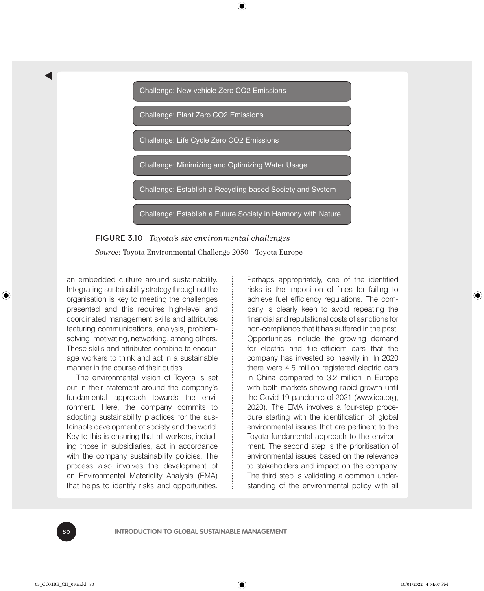

⊕



*Source*: Toyota Environmental Challenge 2050 - Toyota Europe

an embedded culture around sustainability. Integrating sustainability strategy throughout the organisation is key to meeting the challenges presented and this requires high-level and coordinated management skills and attributes featuring communications, analysis, problemsolving, motivating, networking, among others. These skills and attributes combine to encourage workers to think and act in a sustainable manner in the course of their duties.

The environmental vision of Toyota is set out in their statement around the company's fundamental approach towards the environment. Here, the company commits to adopting sustainability practices for the sustainable development of society and the world. Key to this is ensuring that all workers, including those in subsidiaries, act in accordance with the company sustainability policies. The process also involves the development of an Environmental Materiality Analysis (EMA) that helps to identify risks and opportunities. Perhaps appropriately, one of the identified risks is the imposition of fines for failing to achieve fuel efficiency regulations. The company is clearly keen to avoid repeating the financial and reputational costs of sanctions for non-compliance that it has suffered in the past. Opportunities include the growing demand for electric and fuel-efficient cars that the company has invested so heavily in. In 2020 there were 4.5 million registered electric cars in China compared to 3.2 million in Europe with both markets showing rapid growth until the Covid-19 pandemic of 2021 (www.iea.org, 2020). The EMA involves a four-step procedure starting with the identification of global environmental issues that are pertinent to the Toyota fundamental approach to the environment. The second step is the prioritisation of environmental issues based on the relevance to stakeholders and impact on the company. The third step is validating a common understanding of the environmental policy with all

80 **INTRODUCTION TO GLOBAL SUSTAINABLE MANAGEMENT**

t

♠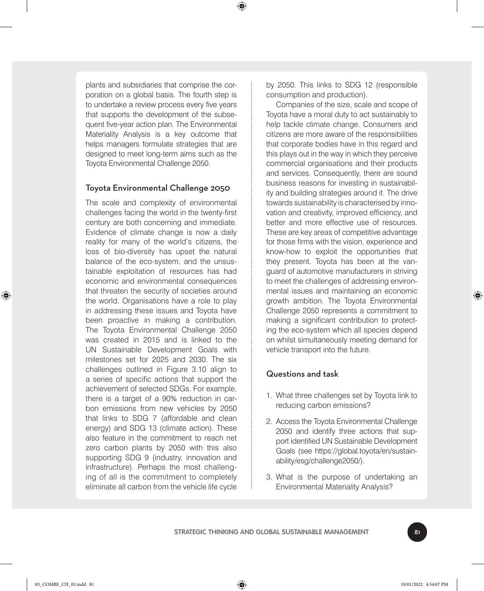⊕

plants and subsidiaries that comprise the corporation on a global basis. The fourth step is to undertake a review process every five years that supports the development of the subsequent five-year action plan. The Environmental Materiality Analysis is a key outcome that helps managers formulate strategies that are designed to meet long-term aims such as the Toyota Environmental Challenge 2050.

#### Toyota Environmental Challenge 2050

The scale and complexity of environmental challenges facing the world in the twenty-first century are both concerning and immediate. Evidence of climate change is now a daily reality for many of the world's citizens, the loss of bio-diversity has upset the natural balance of the eco-system, and the unsustainable exploitation of resources has had economic and environmental consequences that threaten the security of societies around the world. Organisations have a role to play in addressing these issues and Toyota have been proactive in making a contribution. The Toyota Environmental Challenge 2050 was created in 2015 and is linked to the UN Sustainable Development Goals with milestones set for 2025 and 2030. The six challenges outlined in Figure 3.10 align to a series of specific actions that support the achievement of selected SDGs. For example, there is a target of a 90% reduction in carbon emissions from new vehicles by 2050 that links to SDG 7 (affordable and clean energy) and SDG 13 (climate action). These also feature in the commitment to reach net zero carbon plants by 2050 with this also supporting SDG 9 (industry, innovation and infrastructure). Perhaps the most challenging of all is the commitment to completely eliminate all carbon from the vehicle life cycle

by 2050. This links to SDG 12 (responsible consumption and production).

Companies of the size, scale and scope of Toyota have a moral duty to act sustainably to help tackle climate change. Consumers and citizens are more aware of the responsibilities that corporate bodies have in this regard and this plays out in the way in which they perceive commercial organisations and their products and services. Consequently, there are sound business reasons for investing in sustainability and building strategies around it. The drive towards sustainability is characterised by innovation and creativity, improved efficiency, and better and more effective use of resources. These are key areas of competitive advantage for those firms with the vision, experience and know-how to exploit the opportunities that they present. Toyota has been at the vanguard of automotive manufacturers in striving to meet the challenges of addressing environmental issues and maintaining an economic growth ambition. The Toyota Environmental Challenge 2050 represents a commitment to making a significant contribution to protecting the eco-system which all species depend on whilst simultaneously meeting demand for vehicle transport into the future.

#### Questions and task

- 1. What three challenges set by Toyota link to reducing carbon emissions?
- 2. Access the Toyota Environmental Challenge 2050 and identify three actions that support identified UN Sustainable Development Goals (see https://global.toyota/en/sustainability/esg/challenge2050/).
- 3. What is the purpose of undertaking an Environmental Materiality Analysis?



⊕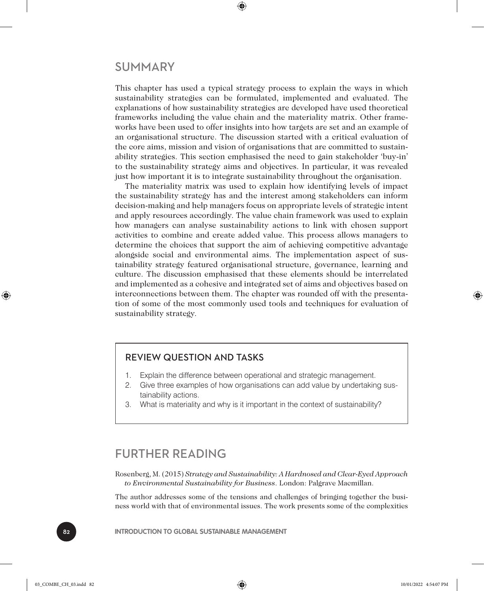#### SUMMARY

This chapter has used a typical strategy process to explain the ways in which sustainability strategies can be formulated, implemented and evaluated. The explanations of how sustainability strategies are developed have used theoretical frameworks including the value chain and the materiality matrix. Other frameworks have been used to offer insights into how targets are set and an example of an organisational structure. The discussion started with a critical evaluation of the core aims, mission and vision of organisations that are committed to sustainability strategies. This section emphasised the need to gain stakeholder 'buy-in' to the sustainability strategy aims and objectives. In particular, it was revealed just how important it is to integrate sustainability throughout the organisation.

⊕

The materiality matrix was used to explain how identifying levels of impact the sustainability strategy has and the interest among stakeholders can inform decision-making and help managers focus on appropriate levels of strategic intent and apply resources accordingly. The value chain framework was used to explain how managers can analyse sustainability actions to link with chosen support activities to combine and create added value. This process allows managers to determine the choices that support the aim of achieving competitive advantage alongside social and environmental aims. The implementation aspect of sustainability strategy featured organisational structure, governance, learning and culture. The discussion emphasised that these elements should be interrelated and implemented as a cohesive and integrated set of aims and objectives based on interconnections between them. The chapter was rounded off with the presentation of some of the most commonly used tools and techniques for evaluation of sustainability strategy.

#### REVIEW QUESTION AND TASKS

- 1. Explain the difference between operational and strategic management.
- 2. Give three examples of how organisations can add value by undertaking sustainability actions.
- 3. What is materiality and why is it important in the context of sustainability?

#### FURTHER READING

Rosenberg, M. (2015) *Strategy and Sustainability: A Hardnosed and Clear-Eyed Approach to Environmental Sustainability for Business*. London: Palgrave Macmillan.

The author addresses some of the tensions and challenges of bringing together the business world with that of environmental issues. The work presents some of the complexities

82 **INTRODUCTION TO GLOBAL SUSTAINABLE MANAGEMENT**

♠